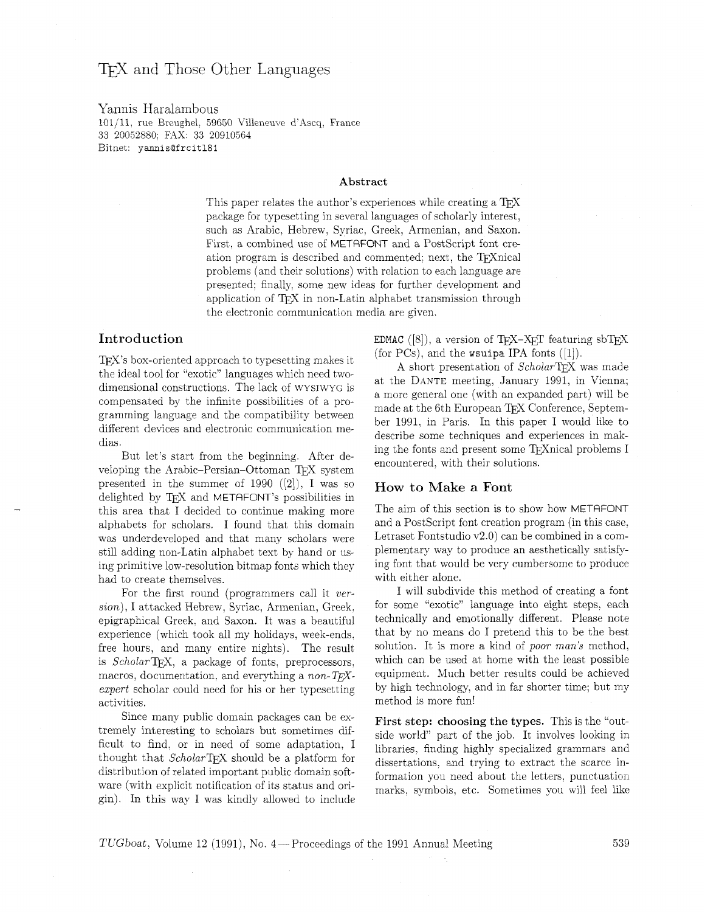# T<sub>F</sub>X and Those Other Languages

Yannis Haralambous 101/11, rue Breughel, 59650 Villenewe d'Ascq, France **33** 20052880; FL4X: **33** 20910564 Bitnet: **yannis@frcitl81** 

#### **Abstract**

This paper relates the author's experiences while creating a  $T\not\!\!F X$ package for typesetting in several languages of scholarly interest. such as Arabic, Hebrew, Syriac, Greek, Armenian, and Saxon. First, a combined use of METAFONT and a PostScript font creation program is described and commented; next, the TFX nical problems (and their solutions) with relation to each language are presented: finally. some new ideas for further development and application of TEX in non-Latin alphabet transmission through the electronic communication media are given.

## **Introduction**

TEX's box-oriented approach to typesetting makes it the ideal tool for "exotic" languages which need twodimensional constructions. The lack of WYSIWYG is compensated by the infinite possibilities of a programming language and the compatibility between different devices and electronic communication medias.

But let's start from the beginning. After developing the Arabic-Persian-Ottoman TFX system presented in the summer of 1990 *([2]),* I was so delighted by T<sub>F</sub>X and METAFONT's possibilities in this area that I decided to continue making more alphabets for scholars. I found that this domain was underdeveloped and that many scholars were still adding non-Latin alphabet text by hand or using primitive low-resolution bitmap fonts which they had to create themselves.

For the first round (programmers call it version), I attacked Hebrew, Syriac, Armenian, Greek. epigraphical Greek. and Saxon. It was a beautiful experience (which took all my holidays. week-ends, free hours. and many entire nights). The result is  $Scholar$ FX, a package of fonts, preprocessors, macros, documentation, and everything a *non-TFX*expert scholar could need for his or her typesetting activities.

Since many public domain packages can be extremely interesting to scholars but sometimes difficult to find. or in need of some adaptation. I thought that ScholarTEX should be a platform for distribution of related important public domain software (with explicit notification of its status and origin). In this way I was kindly allowed to include EDMAC ([8]), a version of T<sub>F</sub>X-X<sub>F</sub>T featuring sbT<sub>F</sub>X (for PCs), and the wsuipa IPA fonts  $([1])$ .

A short presentation of ScholarTEX was made at the DANTE meeting, January 1991, in Vienna; a more general one (with an expanded part) will be made at the 6th European TEX Conference, September 1991, in Paris. In this paper I would like to describe some techniques and experiences in making the fonts and present some TEXnical problems I encountered, with their solutions.

### **How to Make a Font**

The aim of this section is to show how METRFONT and a PostScript font creation program (in this case, Letraset Fontstudio v2.0) can be combined in a complementary way to produce an aesthetically satisfying font that would be very cumbersome to produce with either alone.

I will subdivide this method of creating a font for some "exotic" language into eight steps. each technically and emotionally different. Please note that by no means do I pretend this to be the best solution. It is more a kind of poor man's method, which can be used at home with the least possible equipment. Much better results could be achieved by high technology, and in far shorter time; but my method is more fun!

**First step: choosing the types.** This is the "outside world" part of the job. It involves looking in libraries, finding highly specialized grammars and dissertations, and trying to extract the scarce information you need about the letters, punctuation marks, symbols, etc. Sometimes you will feel like

*TUGboat, Volume 12 (1991), No. 4* – Proceedings of the 1991 Annual Meeting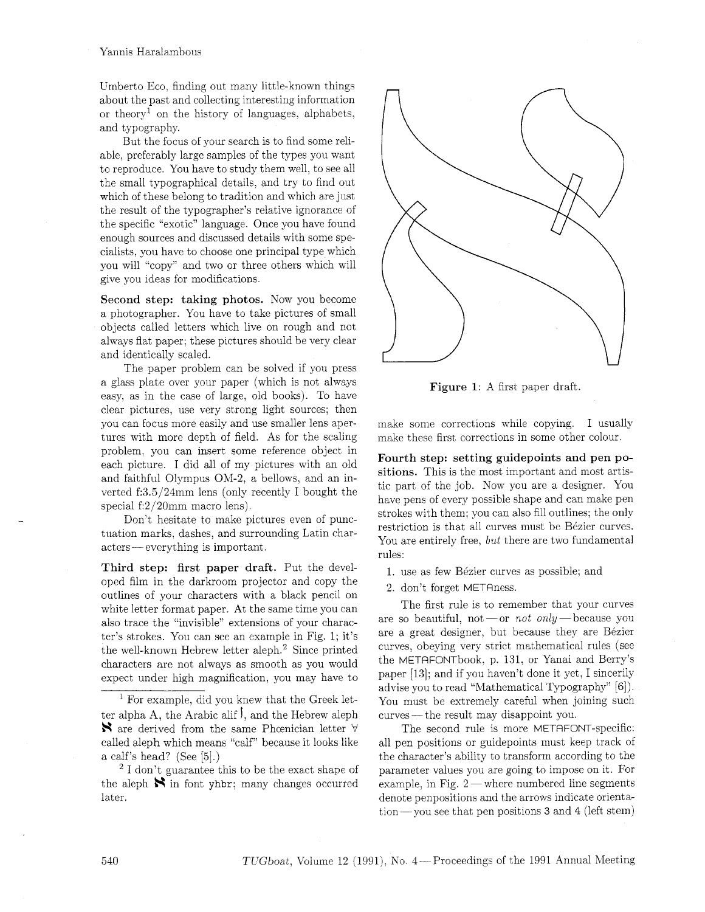Umberto Eco, finding out many little-known things about the past and collecting interesting information or theory<sup>1</sup> on the history of languages, alphabets, and typography.

But the focus of your search is to find some reliable, preferably large samples of the types you want to reproduce. You have to study them well, to see all the small typographical details, and try to find out which of these belong to tradition and which are just the result of the typographer's relative ignorance of the specific "exotic" language. Once you have found enough sources and discussed details with some specialists, you have to choose one principal type which you will "copy" and two or three others which will give you ideas for modifications.

Second step: taking photos. Now you become a photographer. You have to take pictures of small objects called letters which live on rough and not always flat paper; these pictures should be very clear and identically scaled.

The paper problem can be solved if you press a glass plate over your paper (which is not always easy, as in the case of large, old books). To have clear pictures, use very strong light sources; then you can focus more easily and use smaller lens apertures with more depth of field. As for the scaling problem, you can insert some reference object in each picture. I did all of my pictures with an old and faithful Olympus OM-2. a bellows, and an inverted f:3.5/24mm lens (only recently I bought the special f:2/20mm macro lens).

Don't hesitate to make pictures even of punctuation marks, dashes, and surrounding Latin char-Lon't nesitate to make pictu<br>tuation marks, dashes, and surrou<br>acters — everything is important.

Third step: first paper draft. Put the developed film in the darkroom projector and copy the outlines of your characters with a black pencil on white letter format paper. At the same time you can also trace the "invisible" extensions of your character's strokes. You can see an example in Fig. 1; it's the well-known Hebrew letter aleph.2 Since printed characters are not always as smooth as you would expect under high magnification, you may have to

 $<sup>1</sup>$  For example, did you knew that the Greek let-</sup> ter alpha A, the Arabic alif  $\overline{f}$ , and the Hebrew aleph  $\mathbf{\hat{R}}$  are derived from the same Phoenician letter  $\forall$ called aleph which means "calf" because it looks like a calf's head? (See [5].)

<sup>2</sup> I don't guarantee this to be the exact shape of the aleph  $\mathbf{\aleph}$  in font yhbr; many changes occurred later.



Figure 1: A first paper draft.

make some corrections while copying. I usually make these first corrections in some other colour.

Fourth step: setting guidepoints and pen positions. This is the most important and most artistic part of the job. Now you are a designer. You have pens of every possible shape and can make pen strokes with them; you can also fill outlines; the only restriction is that all curves must be Bézier curves. You are entirely free, but there are two fundamental rules:

- 1. use as few Bézier curves as possible; and
- 2. don't forget METRness.

The first rule is to remember that your curves are so beautiful, not -or not only - because you are a great designer, but because they are Bézier curves, obeying very strict mathematical rules (see the METRFONTbook. p. 131. or Yanai and Berry's paper [13]; and if you haven't done it yet, I sincerily advise you to read "Mathematical Typography" [6]). You must be extremely careful when joining such Example 300 to read Mathematical Typogram<br>
You must be extremely careful when journed with the result may disappoint you.

The second rule is more METAFONT-specific: all pen positions or guidepoints must keep track of the character's ability to transform according to the parameter values you are going to impose on it. For example, in Fig.  $2$  — where numbered line segments denote penpositions and the arrows indicate orientation- you see that pen positions **3** and 4 (left stem)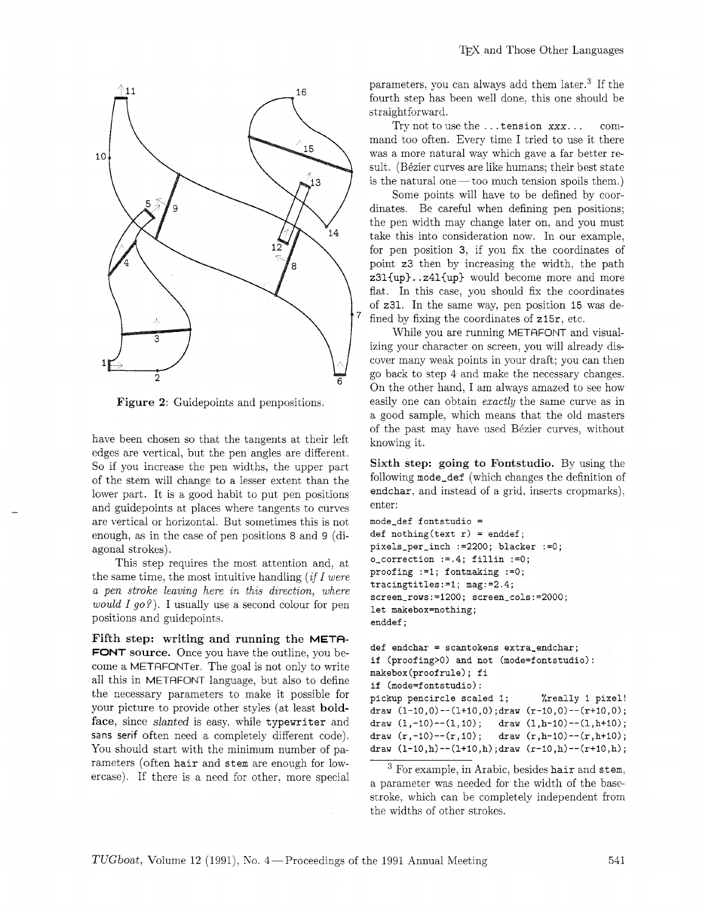



Figure **2:** Guidepoints and penpositions.

have been chosen so that the tangents at their left edges are vertical, but the pen angles are different. So if you increase the pen widths, the upper part of the stem will change to a lesser extent than the lower part. It is a good habit to put pen positions and guidepoints at places where tangents to curves are vertical or horizontal. But sometimes this is not enough, as in the case of pen positions 8 and 9 (diagonal strokes).

This step requires the most attention and, at the same time, the most intuitive handling *(if I were*)  $a$  pen stroke leaving here in this direction, where *would I go?).* I usually use a second colour for pen positions and guidepoints.

Fifth step: writing and running the META-FONT source. Once you have the outline, you become a METAFONTer. The goal is not only to write all this in METAFONT language, but also to define the necessary parameters to make it possible for your picture to provide other styles (at least boldface, since slanted is easy, while typewriter and sans serif often need a completely different code). You should start with the minimum number of parameters (often hair and stem are enough for lowercase). If there is a need for other. more special parameters, you can always add them later.3 If the fourth step has been well done, this one should be straightforward.

Try not to use the . . . tension xxx. . . command too often. Every time I tried to use it there was a more natural way which gave a far better result. (Bézier curves are like humans; their best state is the natural one  $-$  too much tension spoils them.)

Some points will have to be defined by coordinates. Be careful when defining pen positions; the pen width may change later on, and you must take this into consideration now. In our example, for pen position 3, if you fix the coordinates of point 23 then by increasing the width, the path z31{up}..z41{up} would become more and more flat. In this case, you should fix the coordinates of z31. In the same way, pen position 15 was defixing the coordinates of  $z15r$ , etc.

While you are running METAFONT and visualizing your character on screen, you will already discover many weak points in your draft; you can then go back to step 4 and make the necessary changes. On the other hand, I am always amazed to see how easily one can obtain *exactly* the same curve as in a good sample, which means that the old masters of the past may have used Bézier curves, without knowing it.

Sixth step: going to Fontstudio. By using the following mode-def (which changes the definition of endchar, and instead of a grid, inserts cropmarks), enter:

```
mode-def fontstudio = 
def nothing(text r) = enddef; 
pixels-per-inch :=2200; blacker :=O; 
o-correction :=.4; fillin :=O; 
proofing :=I; fontmaking :=O; 
tracingtitles:=l; mag:=2.4; 
screen\_rows:=1200; screen\_cols:=2000;let makebox=nothing; 
enddef ;
```

```
def endchar = scantokens extra-endchar; 
if (proofing>O) and not (mode=fontstudio): 
makebox(proofru1e); fi 
if (mode=fontstudio): 
pickup pencircle scaled 1; %really 1 pixel! 
draw (1-10,O)--(1+10,0) ;draw (r-lO,~)--(r+lO,O) ; 
draw (1,-10)-(1,10); draw (1,h-10)-(1,h+10);
draw (r,-10)-r(r,10); draw (r,h-10)-r(r,h+10);
draw (1-10,h)--(1+10,h) ;draw (r-10,h)--(r+lO,h) ;
```
 $3$  For example, in Arabic, besides hair and stem, a parameter was needed for the width of the basestroke, which can be completely independent from the widths of other strokes.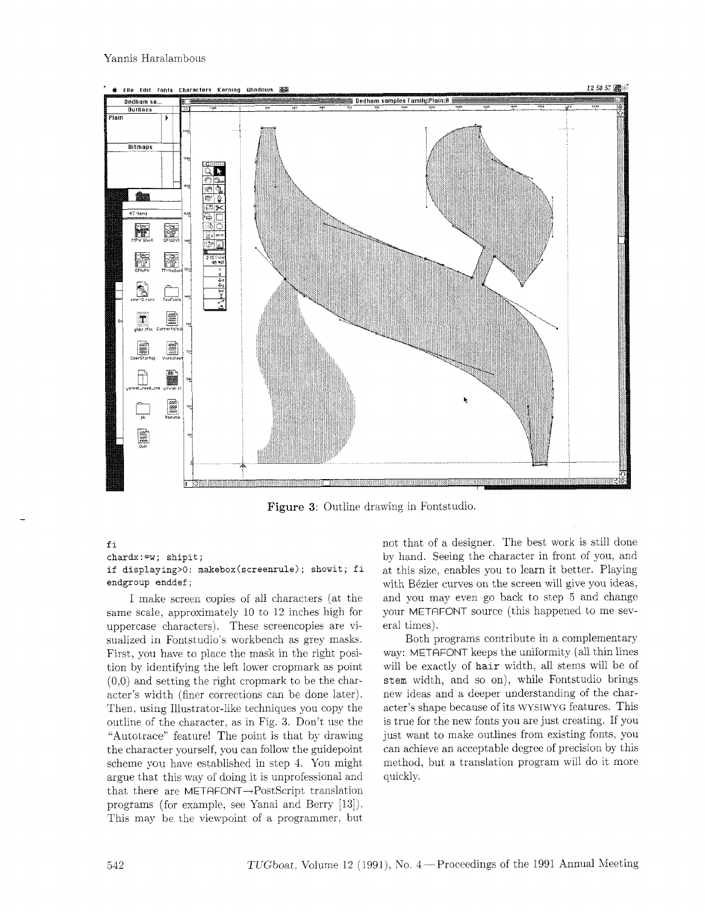

Figure **3:** Outline drawing in Fontstudio.

#### fi

**chardx** : **=w** ; **shipit** ;

**if displaying>O: makebox(screenru1e); showit;** fi **endgroup enddef** ;

I make screen copies of all characters (at the same scale, approximately 10 to 12 inches high for uppercase characters). These screencopies are visualized in Fontstudio's workbench as grey masks. First, you have to place the mask in the right position by identifying the left lower cropmark as point  $(0,0)$  and setting the right cropmark to be the character's width (finer corrections can be done later). Then. using Illustrator-like techniques you copy the outline of the character, as in Fig. 3. Don't use the "Autotrace" feature! The point is that by drawing the character yourself, you can follow the guidepoint scheme you have established in step 4. You might argue that this way of doing it is unprofessional and that there are METAFONT $\rightarrow$ PostScript translation programs (for example, see Yanai and Berry [13]). This may be the viewpoint of a programmer. but not that of a designer. The best work is still done by hand. Seeing the character in front of you, and at this size. enables you to learn it better. Playing with Bézier curves on the screen will give you ideas, and you may even go back to step 5 and change your METRFONT source (this happened to me several times).

Both programs contribute in a complementary way: METAFONT keeps the uniformity (all thin lines will be exactly of **hair** width. all stems will be of stem width, and so on), while Fontstudio brings new ideas and a deeper understanding of the character's shape because of its WYSIWYG features. This is true for the new fonts you are just creating. If you just want to make outlines from existing fonts, you can achieve an acceptable degree of precision by this method, but a translation program will do it more quickly.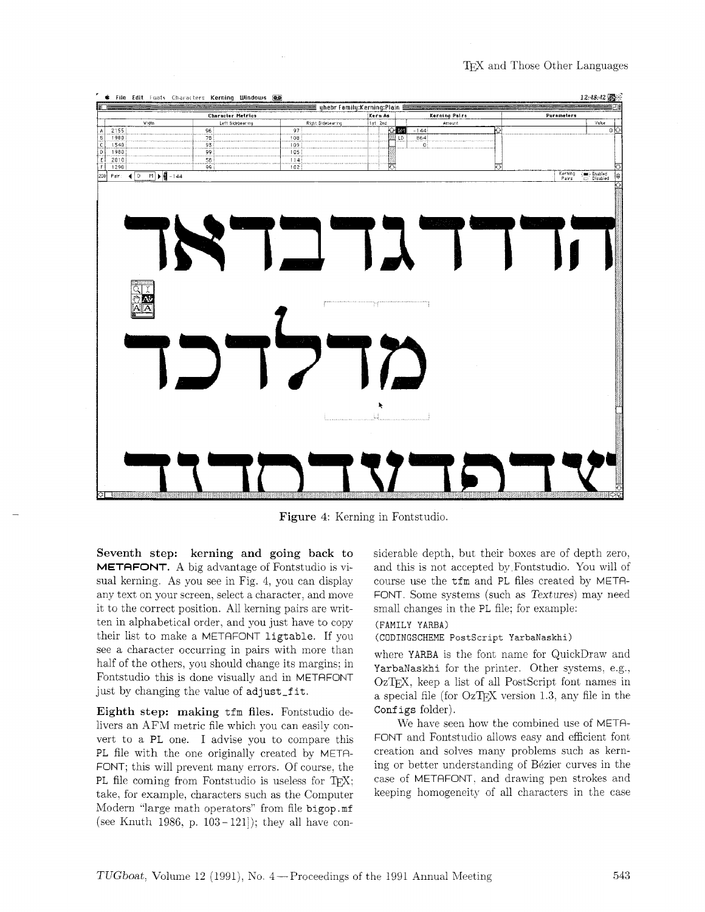T<sub>EX</sub> and Those Other Languages



**Figure 4:** Kerning in Fontstudio

**Seventh step: kerning and going back to METAFONT. A** big advantage of Fontstudio is visual kerning. As you see in Fig. 4, you can display any text on your screen, select a character, and move it to the correct position. All kerning pairs are written in alphabetical order, and you just have to copy their list to make a METRFONT ligtable. If you see a character occurring in pairs with more than half of the others, you should change its margins: in Fontstudio this is done visually and in METAFONT just by changing the value of adjust\_fit.

**Eighth step: making** tfm **files.** Fontstudio delivers an AFM metric file which you can easily convert to a PL one. I advise you to compare this PL file with the one originally created by META-FONT; this will prevent many errors. Of course. the PL file coming from Fontstudio is useless for  $T_F X$ ; take, for example, characters such as the Computer Modern "large math operators" from file bigop . mf (see Knuth 1986, p.  $103-121$ ); they all have considerable depth. but their boxes are of depth zero, and this is not accepted by Fontstudio. You will of course use the tfm and PL files created by META-FONT. Some systems (such as Textures) may need small changes in the PL file; for example:

#### **(FAMILY** YARBA)

#### **(CODINGSCHEME PostScrlpt YarbaNaskhi)**

where YARBA is the font name for QuickDraw and YarbaNaskhi for the printer. Other systems, e.g., OzT<sub>F</sub>X, keep a list of all PostScript font names in a special file (for OZTEX version 1.3. any file in the Configs folder).

We haye seen how the combined use of METR-FONT and Fontstudio allows easy and efficient font creation and solves many problems such as kerning or better understanding of Bézier curves in the case of METAFONT, and drawing pen strokes and keeping homogeneity of all characters in the case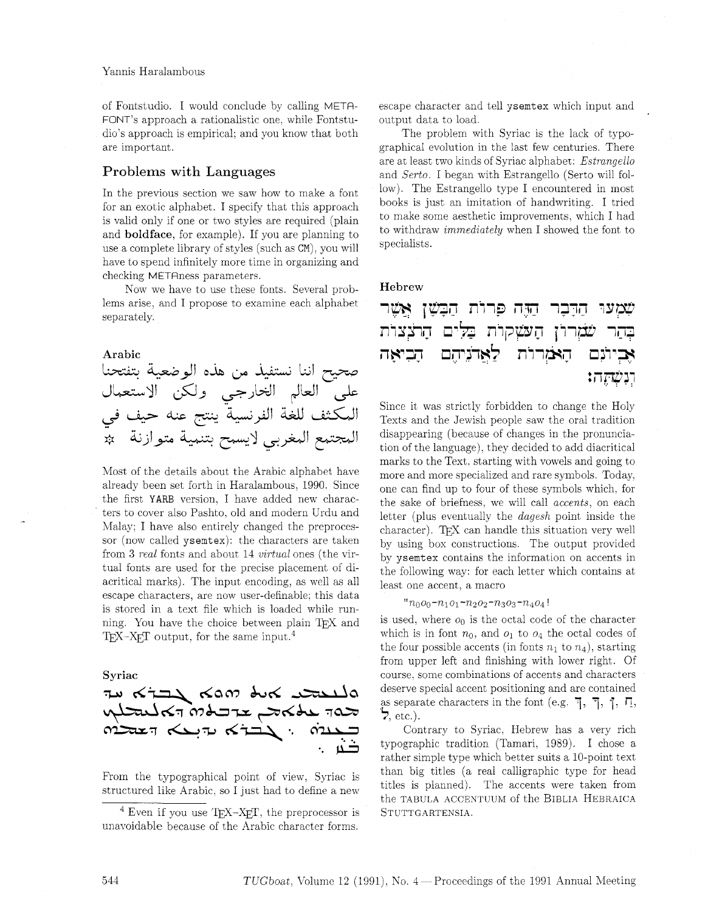of Fontstudio. I would conclude by calling METR-FONT'S approach a rationalistic one. while Fontstudio's approach is empirical: and you know that both are important.

## Problems with Languages

In the previous section we saw how to make a font for an exotic alphabet. I specify that this approach is valid only if one or two styles are required (plain and boldface, for example). If you are planning to use a complete library of styles (such as CM), you will have to spend infinitely more time in organizing and checking METRness parameters.

Now we have to use these fonts. Several problems arise, and I propose to examine each alphabet separately.

Arabic صحيح اننا نستفيذ من هذه الوضعية بتفتحنا على العالم الخارجي ولكن الاستعمال المكثف للغة الفرنسية ينتج عنه حيف في المجتمع المغربي لايسمح بتنمية متوازنة مثم

Most of the details about the Arabic alphabet have already been set forth in Haralambous. 1990. Since the first YARB version. I have added new characters to cover also Pashto, old and modern Urdu and Malay; I have also entirely changed the preprocessor (now called ysemtex): the characters are taken from 3 *real* fonts and about 14 *virtual* ones (the virtual fonts are used for the precise placement of diacritical marks). The input encoding, as well as all escape characters, are now user-definable: this data is stored in a text file which is loaded while running. You have the choice between plain TFX and T<sub>F</sub>X-X<sub>E</sub>T output, for the same input.<sup>4</sup>

#### Syriac

$$
\begin{array}{l} \text{where} \\ \text{where} \\ \text{where} \\ \text{where} \\ \text{where} \\ \text{where} \\ \text{where} \\ \text{where} \\ \text{where} \\ \text{where} \\ \text{where} \\ \text{where} \\ \text{where} \\ \text{where} \\ \text{where} \\ \text{where} \\ \text{where} \\ \text{where} \\ \text{where} \\ \text{where} \\ \text{where} \\ \text{where} \\ \text{where} \\ \text{where} \\ \text{where} \\ \text{where} \\ \text{where} \\ \text{where} \\ \text{where} \\ \text{where} \\ \text{where} \\ \text{where} \\ \text{where} \\ \text{where} \\ \text{where} \\ \text{where} \\ \text{where} \\ \text{where} \\ \text{where} \\ \text{where} \\ \text{where} \\ \text{where} \\ \text{where} \\ \text{where} \\ \text{where} \\ \text{where} \\ \text{where} \\ \text{where} \\ \text{where} \\ \text{where} \\ \text{where} \\ \text{where} \\ \text{where} \\ \text{where} \\ \text{where} \\ \text{where} \\ \text{where} \\ \text{where} \\ \text{where} \\ \text{where} \\ \text{where} \\ \text{where} \\ \text{where} \\ \text{where} \\ \text{where} \\ \text{where} \\ \text{where} \\ \text{where} \\ \text{where} \\ \text{where} \\ \text{where} \\ \text{where} \\ \text{where} \\ \text{where} \\ \text{where} \\ \text{where} \\ \text{where} \\ \text{where} \\ \text{where} \\ \text{where} \\ \text{where} \\ \text{where} \\ \text{where} \\ \text{where} \\ \text{where} \\ \text{where} \\ \text{where} \\ \text{where} \\ \text{where} \\ \text{where} \\ \text{where} \\ \text{where} \\ \text{where} \\ \text{where} \\ \text{where} \\ \text{where} \\ \text{where} \\ \text{where} \\ \text{where} \\ \text{where} \\ \text{where} \\ \text{where} \\ \text{where} \\ \text{where} \\ \text{where} \\ \text{where} \\ \text{where} \\ \text{where} \\ \text{where} \\ \text{where} \\ \text{where} \\ \text{where} \\ \text{where} \\ \text{where} \\ \text{where} \\ \text{where} \\ \text{where} \\ \text{where} \\ \text{where} \\ \text{where} \\ \text{where} \\ \text{where} \\ \text{where} \\ \text{where} \\ \text{where} \\ \text{
$$

From the typographical point of view, Syriac is structured like Arabic, so I just had to define a new escape character and tell ysemtex which input and output data to load.

The problem with Syriac is the lack of typographical evolution in the last few centuries. There are at least two kinds of Syriac alphabet: Estrangello and Serto. I began with Estrangello (Serto will follow). The Estrangello type I encountered in most books is just an imitation of handwriting. I tried to make some aesthetic improvements, which I had to withdraw immediately when I showed the font to specialists.

### Hebrew

|  |  | שמעו הרכר היה פרות הבשן אָשֶר                 |
|--|--|-----------------------------------------------|
|  |  | בְהַר שֹׁמְרוֹן הָעשְקוֹת בַּלִּים הָרֹצְצוֹת |
|  |  | אָבִיתִם הָאֹוְרוֹת לַאֲדֹנְיהֶם הָבִיאָה     |
|  |  | יִנִ <i>ּשְׁהָ</i> הו                         |

Since it was strictly forbidden to change the Holy Texts and the Jewish people saw the oral tradition disappearing (because of changes in the pronunciation of the language). they decided to add diacritical marks to the Text. starting with vowels and going to more and more specialized and rare symbols. Today. one can find up to four of these symbols which. for the sake of briefness, we will call *accents*, on each letter (plus eventually the dagesh point inside the character). TEX can handle this situation very well by using box constructions. The output provided by ysemtex contains the information on accents in the following way: for each letter which contains at least one accent, a macro

### " $n_0o_0$ - $n_1o_1$ - $n_2o_2$ - $n_3o_3$ - $n_4o_4$ !

is used, where  $o_0$  is the octal code of the character which is in font  $n_0$ , and  $o_1$  to  $o_4$  the octal codes of the four possible accents (in fonts  $n_1$  to  $n_4$ ), starting from upper left and finishing with lower right. Of course. some combinations of accents and characters deserve special accent positioning and are contained as separate characters in the font (e.g.  $\overline{1}$ ,  $\overline{1}$ ,  $\overline{1}$ ,  $\overline{1}$ ,  $\overline{1}$ , *5,* etc.).

Contrary to Syriac, Hebrew has a very rich typographic tradition (Tamari, 1989). I chose a rather simple type which better suits a 10-point text than big titles (a real calligraphic type for head titles is planned). The accents were taken from the TABULA ACCENTUUM of the BIBLIA HEBRAICA STUTTGARTENSIA.

<sup>&</sup>lt;sup>4</sup> Even if you use  $T_{F}X-X_{F}T$ , the preprocessor is unavoidable because of the Arabic character forms.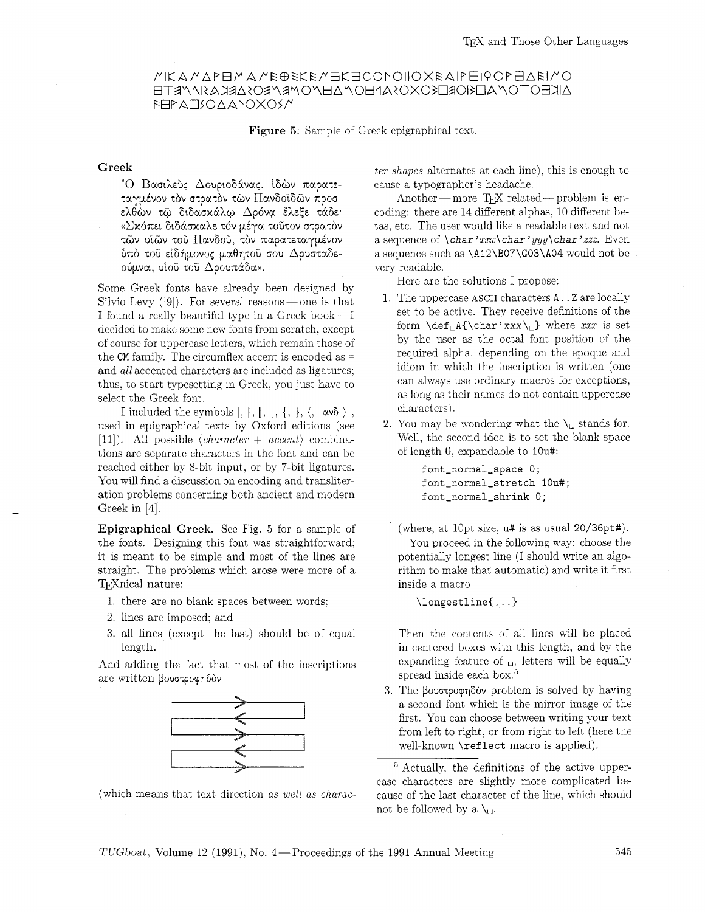## MIKA MAPEMA ME@EKE MEKECONOIIO XEAIPEI POPEAEI MO AKEOTOMALKIORLISOXOSANEOMAEMOMRMEOSARKASIMPTE **FEPALISOAANOXOS/M**

Figure 5: Sample of Greek epigraphical text.

#### Greek

°Ο Βασιλεύς Δουριοδάνας, ίδὼν παρατεταγμένον τον στρατον των Πανδοϊδών προσελθών τω διδασκάλω Δρόνα έλεξε τάδε «Σκόπει διδάσκαλε τόν μέγα τοῦτον στρατὸν τῶν υἱῶν τοῦ Πανδοῦ, τὸν παρατεταγμένον ύπό του είδήμονος μαθητού σου Δρυσταδεούμνα, υίοῦ τοῦ Δρουπάδα».

Some Greek fonts have already been designed by Silvio Levy  $([9])$ . For several reasons—one is that I found a really beautiful type in a Greek book $-I$ decided to make some new fonts from scratch, except of course for uppercase letters, which remain those of the **CM** family. The circumflex accent is encoded as = and *all* accented characters are included as ligatures; thus, to start typesetting in Greek, you just have to select the Greek font.

I included the symbols  $|, \|, \|, , \}$ ,  $\langle, \infty \delta \rangle$ , used in epigraphical texts by Oxford editions (see [Ill). All possible *(character* + *accent)* combinations are separate characters in the font and can be reached either by 8-bit input, or by ?-bit ligatures. You will find a discussion on encoding and transliteration problems concerning both ancient and modern Greek in [4].

Epigraphical Greek. See Fig. *5* for a sample of the fonts. Designing this font was straightforward: it is meant to be simple and most of the lines are straight. The problems which arose were more of a T<sub>F</sub>Xnical nature:

- 1. there are no blank spaces between words;
- 2. lines are imposed; and
- **3.** all lines (except the last) should be of equal length.

And adding the fact that most of the inscriptions are written βουστροφηδὸν



(which means that text direction *as well as charac-*

*ter shapes* alternates at each line), this is enough to cause a typographer's headache.

Another - more TFX-related - problem is encoding: there are 14 different alphas, 10 different betas, etc. The user would like a readable text and not a sequence of *\char 'xxx\char'* yyy *\char'zzz.* Even a sequence such as \Al2\B07\G03\A04 would not be very readable.

Here are the solutions I propose:

- 1. The uppercase ASCII characters A. . Z are locally set to be active. They receive definitions of the form \def,A(\char'xxx\,) where *xxx* is set by the user as the octal font position of the required alpha. depending on the epoque and idiom in which the inscription is written (one can always use ordinary macros for exceptions, as long as their names do not contain uppercase characters).
- 2. You may be wondering what the  $\iota_{\cup}$  stands for. Well, the second idea is to set the blank space of length 0, expandable to IOU#:

font-normal-space 0; font-normal-stretch IOU#; font-normal-shrink 0;

(where, at lOpt size, u# is as usual 20/36pt#).

You proceed in the following way: choose the potentially longest line (I should write an algorithm to make that automatic) and write it first inside a macro

 $\langle$ longestline $\{ \ldots \}$ 

Then the contents of all lines will be placed in centered boxes with this length, and by the expanding feature of  $\Box$ , letters will be equally spread inside each box.<sup>5</sup>

3. The βουστροφηδὸν problem is solved by having a second font which is the mirror image of the first. You can choose between writing your text from left to right, or from right to left (here the well-known \reflect macro is applied).

Actually, the definitions of the active uppercase characters are slightly more complicated because of the last character of the line, which should not be followed by a  $\mathcal{N}_{\mathfrak{U}}$ .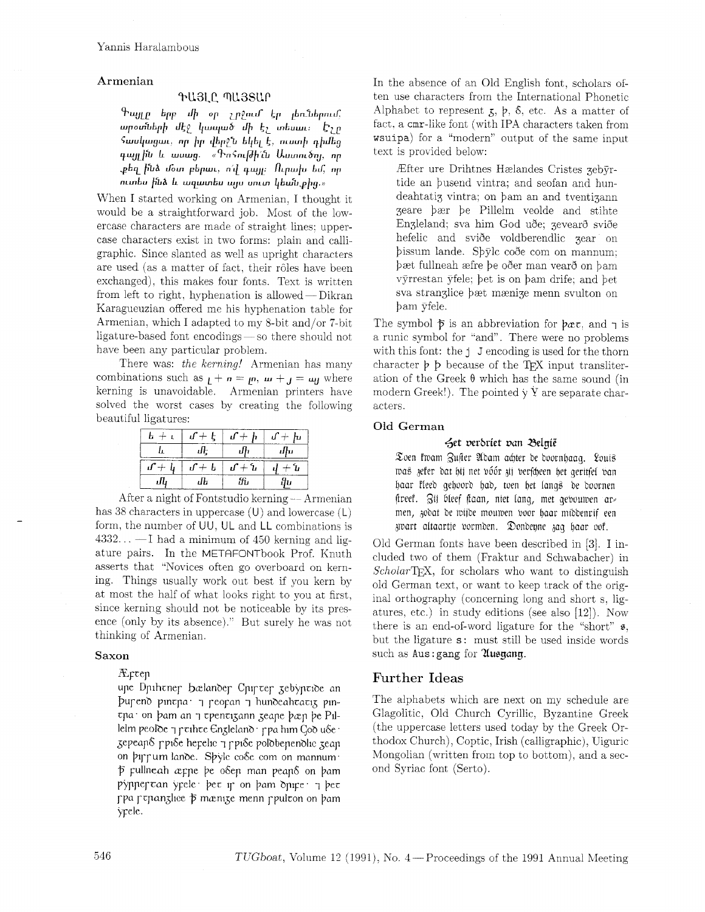## Armenian

### ԳԱՅԼԸ ՊԱՅՏԱՐ

Գայլը երբ մի օր չրջում էր լեռներում, արօտների մէջ կապած մի էչ տեսաւ։ Էչր *Swulungun, որ իր վեր*ջև եկել է, ուստի դիմեց դայլին և ասաց. «Գո*հուլժի՞ւ*ն Աստուծոյ, որ քեզ ի՞նձ մօտ բերաւ, ո՜վ դայլ։ Ուրախ եմ, որ ուտես ի՞նձ և ազատես այս սուտ կեա՞ն թից.»

When I started working on Armenian, I thought it would be a straightforward job. Most of the lowercase characters are made of straight lines: uppercase characters exist in two forms: plain and calligraphic. Since slanted as well as upright characters are used (as a matter of fact, their rôles have been exchanged), this makes four fonts. Text is written from left to right, hyphenation is allowed - Dikran<br>from left to right, hyphenation is allowed - Dikran<br>from left to right, hyphenation is allowed - Dikran Karagueuzian offered me his hyphenation table for Armenian, which I adapted to my 8-bit and/or 7-bit ligature-based font encodings - so there should not have been any particular problem.

There was: *the kerning!* Armenian has many combinations such as  $_L + n = \mu$ ,  $\mu + \mu = \mu$  where kerning is unavoidable. Armenian printers have solved the worst cases by creating the following beautiful ligatures:

|  | $b + i$ $f + f$ $f + f$ $f + f$ |       |
|--|---------------------------------|-------|
|  |                                 | - ժեռ |
|  | $f + f + f + f + f + f + f + f$ |       |
|  | Я.                              |       |

After a night of Fontstudio kerning - Armenian has 38 characters in uppercase  $(U)$  and lowercase  $(L)$ form, the number of UU. UL and LL combinations is  $4332... - I$  had a minimum of 450 kerning and ligature pairs. In the METAFONTbook Prof. Knuth asserts that "Novices often go overboard on kerning. Things usually work out best if you kern by at most the half of what looks right to you at first, since kerning should not be noticeable by its presence (only by its absence)." But surely he was not thinking of Armenian.

#### Saxon

### $Arcep$

upe Dpihener bælander Cpircer zebyptide an pureno pintpa: peopan y hundeahtatiz pintpa on bam an y tpentizann zeape bæp be Pillelm peoloe y prihre Englelano ppa him Goo use gepeano puốe herelic 7 puốe polobenenolic zean on pirrum lande. Spyle co&e com on mannum p pullneah æppe be osep man peaps on bam pynner can yrele bec ir on bam onire 7 bec ppa pepanglice p mænige menn ppulcon on bam yrele.

In the absence of an Old English font, scholars often use characters from the International Phonetic Alphabet to represent  $x, b, \delta$ , etc. As a matter of fact. a cmr-like font (with IPA characters taken from wsuipa) for a "modern" output of the same input text is provided below:

Rfter ure Drihtnes Hzlandes Cristes gebyrtide an busend vintra; and seofan and hundeahtatig vintra; on bam an and tventigann geare bzr be Pillelm veolde and stihte Engleland; sva him God uðe; gevearð sviðe hefelic and sviðe voldberendlic gear on bissum lande. Sbylc code com on mannum; bæt fullneah æfre þe oðer man vearð on bam vyrrestan yfele; bet is on bam drife; and bet sva stranglice bzt mznige menn svulton on bam yfele.

The symbol  $\bar{p}$  is an abbreviation for  $\bar{p}$  and  $\bar{q}$  is a runic symbol for "and". There were no problems with this font: the j J encoding is used for the thorn character  $\not\vdash$  b because of the T<sub>F</sub>X input transliteration of the Greek **0** which has the same sound (in modern Greek!). The pointed  $\dot{y}$  Y are separate characters.

#### Old German

### set oerbriet oan delgie

Zoen fwam Zufter Adam achter de doornhaag. Louis was zefer dat bij net póór zij berfcheen bet geritfel van baar Pleeb geboorb bab, toen bet Long\$ be boornen ftreef. Zij bleef ftaan, niet lang, met gebouwen armen, jobat be miibe moumen boor baar mibbenrif een Amart aitaartje bormben. 9onbeqne gag baar ool.

Old German fonts have been described in *[3].* I included two of them (Fraktur and Schwabacher) in *Scholar'T&\$,* for scholars who want to distinguish old German text, or want to keep track of the original orthography (concerning long and short s, ligatures, etc.) in study editions (see also [12]). Now there is an end-of-word ligature for the "short"  $\epsilon$ , but the ligature  $s$ : must still be used inside words such as Aus: gang for *Musyang*.

## Further Ideas

The alphabets which are next on my schedule are Glagolitic. Old Church Cyrillic, Byzantine Greek (the uppercase letters used today by the Greek Orthodox Church), Coptic, Irish (calligraphic), Uiguric Mongolian (written from top to bottom), and a second Syriac font (Serto).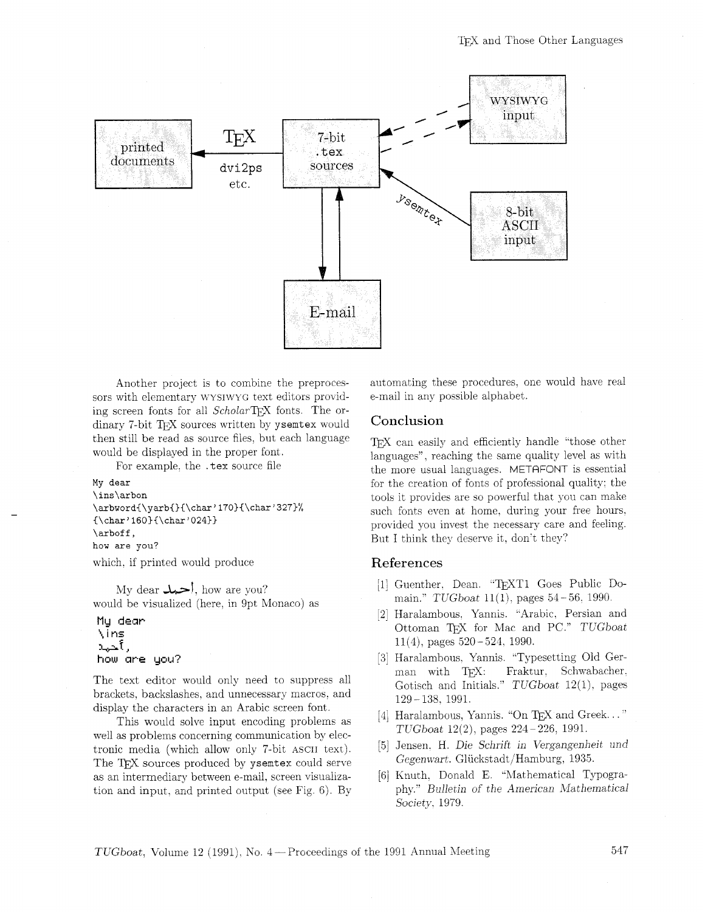

Another project is to combine the preprocessors with elementary WYSIWYG text editors providing screen fonts for all *Scholar*T<sub>F</sub>X fonts. The ordinary 7-bit TFX sources written by ysemtex would then still be read as source files, but each language would be displayed in the proper font.

For example, the . tex source file

```
My dear 
\ins\arbon 
\arbword{\yarb{){\char'170){\char'327)% 
{\char'160){\char'024)) 
\arboff,
how are you? 
which, if printed would produce
```
My dear  $\leftarrow$ , how are you? would be visualized (here, in 9pt Monaco) as

```
My dear
\ins
رأحيد
how are you?
```
The text editor would only need to suppress all brackets, hackslashes, and unnecessary macros. and display the characters in an Arabic screen font.

This would solve input encoding problems as well as problems concerning communication by electronic media (which allow only 7-bit ASCII text). The TFX sources produced by ysemtex could serve as an intermediary between e-mail. screen visualization and input. and printed output (see Fig. 6). By automating these procedures. one would have real e-mail in any possible alphabet.

## Conclusion

TFX can easily and efficiently handle "those other languages". reaching the same quality level as with the more usual languages. METRFONT is essential for the creation of fonts of professional quality: the tools it provides are so powerful that you can make such fonts even at home. during your free hours. provided you invest the necessary care and feeling. But I think they deserve it, don't they?

## References

- [1] Guenther, Dean. "TEXT1 Goes Public Domain."  $TUGboat$  11(1), pages 54 - 56, 1990.
- [2] Haralambous. Yannis. "Arabic, Persian and Ottoman TEX for Mac and PC." TUGboat  $11(4)$ , pages  $520 - 524$ , 1990.
- [3] Haralambous. Yannis. "Typesetting Old German with TEX: Fraktur. Schwabacher. Gotisch and Initials."  $TUGboat$  12(1), pages <sup>129</sup>- 138. 1991.
- [4] Haralambous, Yannis. "On TEX and Greek..."  $TUGboat$   $12(2)$ , pages  $224-226$ , 1991.
- [5] Jensen. H. Die Schrift in Vergangenheit und Gegenwart. Gliickstadt/Hamburg, 1935.
- [6] Knuth. Donald E. "Mathematical Typography." Bulletin of the American Mathematical Society, 1979.